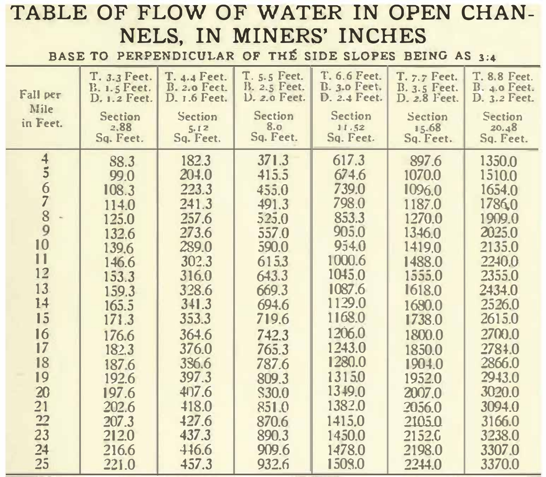## **TABLE OF FLOW OF WATER IN OPEN CHAN-NELS, IN MINERS' INCHES**

**BASE TO PERPENDICULAR OF THE SIDE SLOPES BEING AS 3:4** 

| Fall per<br>Mile<br>in Feet.                                                                                                                                    | T. 3.3 Feet.<br><b>B. 1.5 Feet.</b><br>D. 1.2 Feet.<br><b>Section</b><br>2.88<br>Sq. Feet.                                                                                                      | T. 4.4 Feet.<br>B. 2.0 Feet.<br>D. 1.6 Feet.<br>Section<br>5.12<br>Sq. Feet.                                                                                                                       | T. 5.5 Feet.<br>B. 2.5 Feet.<br><b>D. 2.0 Feet.</b><br><b>Section</b><br>8.0<br>Sq. Feet.                                                                                                         | T. 6.6 Feet.<br>B. 3.0 Feet.<br>D. 2.4 Feet.<br><b>Section</b><br>11.52<br>Sq. Feet.                                                                                                                             | T. 7.7 Feet.<br>B. 3.5 Feet.<br>D. 2.8 Feet.<br>Section<br>15.68<br>Sq. Feet.                                                                                                                                           | T. 8.8 Feet.<br>B. 4.0 Feet.<br>D. 3.2 Feet.<br>Section<br>20.48<br>Sq. Feet.                                                                                                                                         |
|-----------------------------------------------------------------------------------------------------------------------------------------------------------------|-------------------------------------------------------------------------------------------------------------------------------------------------------------------------------------------------|----------------------------------------------------------------------------------------------------------------------------------------------------------------------------------------------------|---------------------------------------------------------------------------------------------------------------------------------------------------------------------------------------------------|------------------------------------------------------------------------------------------------------------------------------------------------------------------------------------------------------------------|-------------------------------------------------------------------------------------------------------------------------------------------------------------------------------------------------------------------------|-----------------------------------------------------------------------------------------------------------------------------------------------------------------------------------------------------------------------|
| $\overline{\mathbf{4}}$<br>$\overline{5}$<br>6<br>8<br>9<br>10<br>11<br>12<br>13<br>14<br>15<br>16<br>17<br>18<br>19<br>20<br>21<br>$\frac{22}{23}$<br>24<br>25 | 88.3<br>99.0<br>108.3<br>114.0<br>125.0<br>132.6<br>139.6<br>146.6<br>153.3<br>159.3<br>165.5<br>171.3<br>176.6<br>182.3<br>1876<br>192.6<br>197.6<br>202.6<br>207.3<br>212.0<br>216.6<br>221.0 | 182.3<br>204.0<br>223.3<br>241.3<br>257.6<br>273.6<br>289.0<br>302.3<br>316.0<br>328.6<br>341.3<br>353.3<br>364.6<br>376.0<br>336.6<br>397.3<br>407.6<br>418.0<br>427.6<br>437.3<br>416.6<br>457.3 | 371.3<br>415.5<br>455.0<br>491.3<br>525.0<br>557.0<br>590,0<br>6153<br>643.3<br>669.3<br>694.6<br>719.6<br>742.3<br>765.3<br>787.6<br>809.3<br>S30.0<br>851.0<br>870.6<br>890.3<br>909.6<br>932.6 | 617.3<br>674.6<br>739.0<br>798.0<br>853.3<br>905.0<br>954.0<br>1000.6<br>1045.0<br>1087.6<br>1129.0<br>1168.0<br>1206.0<br>1243.0<br>1280.0<br>13150<br>1349.0<br>1382.0<br>1415.0<br>1450.0<br>1478.0<br>1509.0 | 897.6<br>1070.0<br>1096.0<br>1187.0<br>1270.0<br>1346.0<br>1419.0<br>1488.0<br>1555.0<br>1618.0<br>1690.0<br>1738.0<br>1800.0<br>1850.0<br>1904.0<br>1952.0<br>2007.0<br>2056.0<br>2105.0<br>2152.0<br>2198.0<br>2244.0 | 1350.0<br>1510.0<br>1654.0<br>17860<br>1909.0<br>2025.0<br>2135.0<br>2240.0<br>2355.0<br>2434.0<br>2526.0<br>2615.0<br>2700.0<br>27840<br>2866.0<br>2943.0<br>3020.0<br>3094.0<br>3166.0<br>3238.0<br>33070<br>3370.0 |